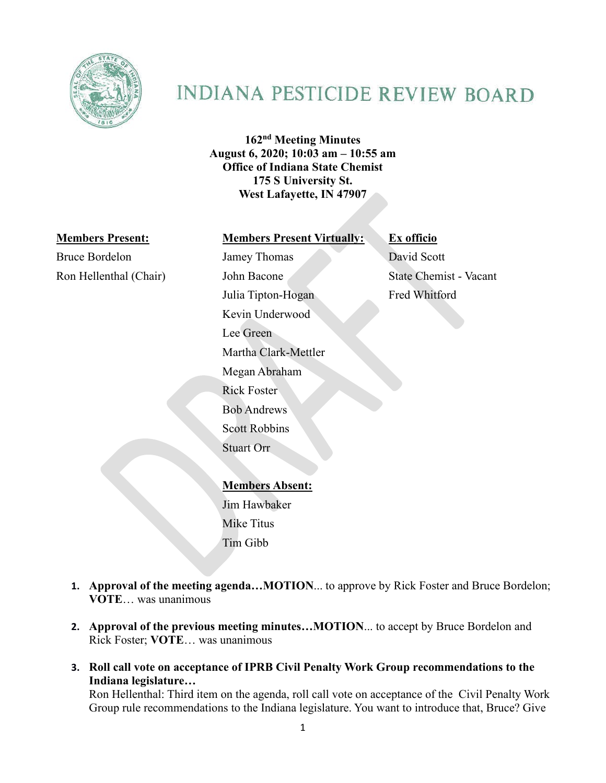

# **INDIANA PESTICIDE REVIEW BOARD**

**162nd Meeting Minutes August 6, 2020; 10:03 am – 10:55 am Office of Indiana State Chemist 175 S University St. West Lafayette, IN 47907**

Bruce Bordelon Jamey Thomas David Scott Ron Hellenthal (Chair) John Bacone State Chemist - Vacant

#### **Members Present: Members Present Virtually: Ex officio**

Julia Tipton-Hogan Fred Whitford Kevin Underwood Lee Green Martha Clark-Mettler Megan Abraham Rick Foster Bob Andrews Scott Robbins Stuart Orr

**Members Absent:** Jim Hawbaker Mike Titus Tim Gibb

- **1. Approval of the meeting agenda…MOTION**... to approve by Rick Foster and Bruce Bordelon; **VOTE**… was unanimous
- **2. Approval of the previous meeting minutes…MOTION**... to accept by Bruce Bordelon and Rick Foster; **VOTE**… was unanimous
- **3. Roll call vote on acceptance of IPRB Civil Penalty Work Group recommendations to the Indiana legislature…**

Ron Hellenthal: Third item on the agenda, roll call vote on acceptance of the Civil Penalty Work Group rule recommendations to the Indiana legislature. You want to introduce that, Bruce? Give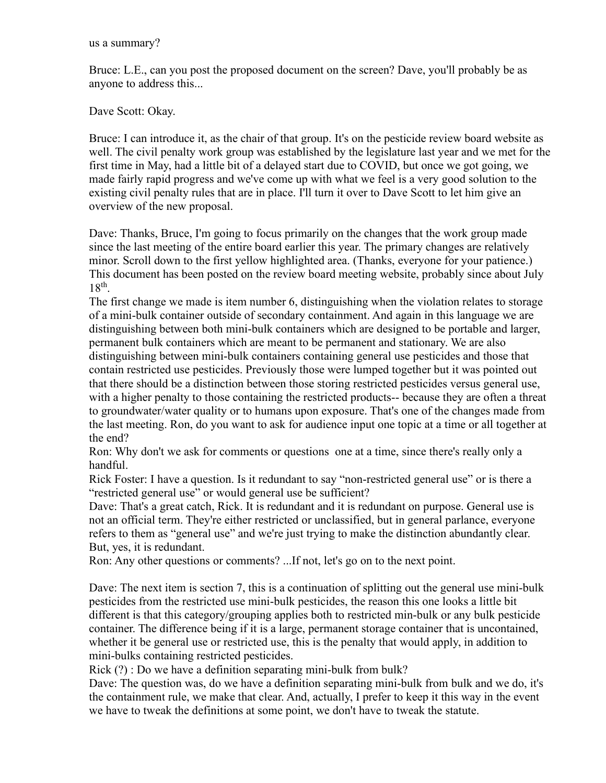Bruce: L.E., can you post the proposed document on the screen? Dave, you'll probably be as anyone to address this...

Dave Scott: Okay.

Bruce: I can introduce it, as the chair of that group. It's on the pesticide review board website as well. The civil penalty work group was established by the legislature last year and we met for the first time in May, had a little bit of a delayed start due to COVID, but once we got going, we made fairly rapid progress and we've come up with what we feel is a very good solution to the existing civil penalty rules that are in place. I'll turn it over to Dave Scott to let him give an overview of the new proposal.

Dave: Thanks, Bruce, I'm going to focus primarily on the changes that the work group made since the last meeting of the entire board earlier this year. The primary changes are relatively minor. Scroll down to the first yellow highlighted area. (Thanks, everyone for your patience.) This document has been posted on the review board meeting website, probably since about July  $18^{th}$ .

The first change we made is item number 6, distinguishing when the violation relates to storage of a mini-bulk container outside of secondary containment. And again in this language we are distinguishing between both mini-bulk containers which are designed to be portable and larger, permanent bulk containers which are meant to be permanent and stationary. We are also distinguishing between mini-bulk containers containing general use pesticides and those that contain restricted use pesticides. Previously those were lumped together but it was pointed out that there should be a distinction between those storing restricted pesticides versus general use, with a higher penalty to those containing the restricted products-- because they are often a threat to groundwater/water quality or to humans upon exposure. That's one of the changes made from the last meeting. Ron, do you want to ask for audience input one topic at a time or all together at the end?

Ron: Why don't we ask for comments or questions one at a time, since there's really only a handful.

Rick Foster: I have a question. Is it redundant to say "non-restricted general use" or is there a "restricted general use" or would general use be sufficient?

Dave: That's a great catch, Rick. It is redundant and it is redundant on purpose. General use is not an official term. They're either restricted or unclassified, but in general parlance, everyone refers to them as "general use" and we're just trying to make the distinction abundantly clear. But, yes, it is redundant.

Ron: Any other questions or comments? ...If not, let's go on to the next point.

Dave: The next item is section 7, this is a continuation of splitting out the general use mini-bulk pesticides from the restricted use mini-bulk pesticides, the reason this one looks a little bit different is that this category/grouping applies both to restricted min-bulk or any bulk pesticide container. The difference being if it is a large, permanent storage container that is uncontained, whether it be general use or restricted use, this is the penalty that would apply, in addition to mini-bulks containing restricted pesticides.

Rick (?) : Do we have a definition separating mini-bulk from bulk?

Dave: The question was, do we have a definition separating mini-bulk from bulk and we do, it's the containment rule, we make that clear. And, actually, I prefer to keep it this way in the event we have to tweak the definitions at some point, we don't have to tweak the statute.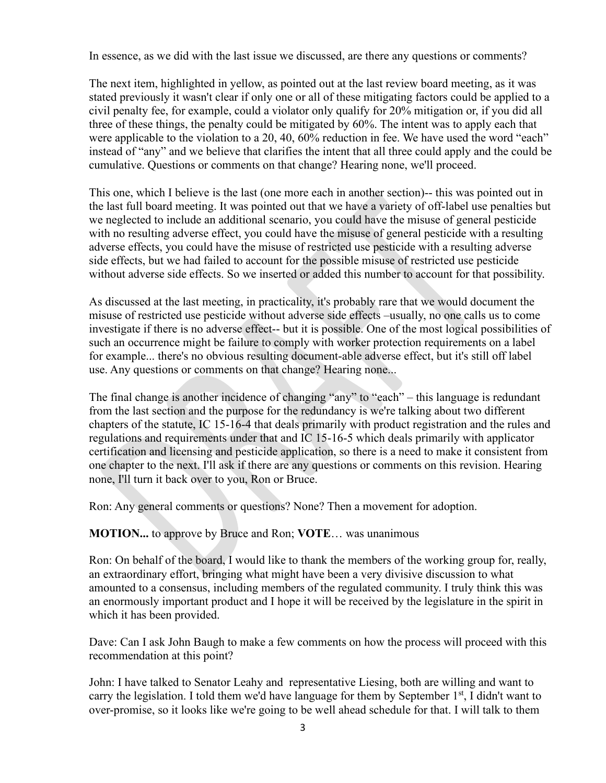In essence, as we did with the last issue we discussed, are there any questions or comments?

The next item, highlighted in yellow, as pointed out at the last review board meeting, as it was stated previously it wasn't clear if only one or all of these mitigating factors could be applied to a civil penalty fee, for example, could a violator only qualify for 20% mitigation or, if you did all three of these things, the penalty could be mitigated by 60%. The intent was to apply each that were applicable to the violation to a 20, 40, 60% reduction in fee. We have used the word "each" instead of "any" and we believe that clarifies the intent that all three could apply and the could be cumulative. Questions or comments on that change? Hearing none, we'll proceed.

This one, which I believe is the last (one more each in another section)-- this was pointed out in the last full board meeting. It was pointed out that we have a variety of off-label use penalties but we neglected to include an additional scenario, you could have the misuse of general pesticide with no resulting adverse effect, you could have the misuse of general pesticide with a resulting adverse effects, you could have the misuse of restricted use pesticide with a resulting adverse side effects, but we had failed to account for the possible misuse of restricted use pesticide without adverse side effects. So we inserted or added this number to account for that possibility.

As discussed at the last meeting, in practicality, it's probably rare that we would document the misuse of restricted use pesticide without adverse side effects –usually, no one calls us to come investigate if there is no adverse effect-- but it is possible. One of the most logical possibilities of such an occurrence might be failure to comply with worker protection requirements on a label for example... there's no obvious resulting document-able adverse effect, but it's still off label use. Any questions or comments on that change? Hearing none...

The final change is another incidence of changing "any" to "each" – this language is redundant from the last section and the purpose for the redundancy is we're talking about two different chapters of the statute, IC 15-16-4 that deals primarily with product registration and the rules and regulations and requirements under that and IC 15-16-5 which deals primarily with applicator certification and licensing and pesticide application, so there is a need to make it consistent from one chapter to the next. I'll ask if there are any questions or comments on this revision. Hearing none, I'll turn it back over to you, Ron or Bruce.

Ron: Any general comments or questions? None? Then a movement for adoption.

### **MOTION...** to approve by Bruce and Ron; **VOTE**… was unanimous

Ron: On behalf of the board, I would like to thank the members of the working group for, really, an extraordinary effort, bringing what might have been a very divisive discussion to what amounted to a consensus, including members of the regulated community. I truly think this was an enormously important product and I hope it will be received by the legislature in the spirit in which it has been provided.

Dave: Can I ask John Baugh to make a few comments on how the process will proceed with this recommendation at this point?

John: I have talked to Senator Leahy and representative Liesing, both are willing and want to carry the legislation. I told them we'd have language for them by September  $1<sup>st</sup>$ , I didn't want to over-promise, so it looks like we're going to be well ahead schedule for that. I will talk to them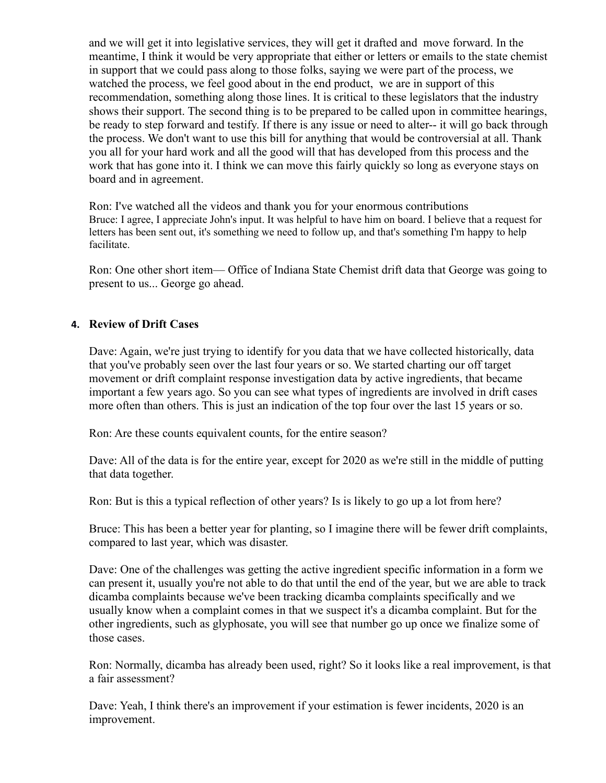and we will get it into legislative services, they will get it drafted and move forward. In the meantime, I think it would be very appropriate that either or letters or emails to the state chemist in support that we could pass along to those folks, saying we were part of the process, we watched the process, we feel good about in the end product, we are in support of this recommendation, something along those lines. It is critical to these legislators that the industry shows their support. The second thing is to be prepared to be called upon in committee hearings, be ready to step forward and testify. If there is any issue or need to alter-- it will go back through the process. We don't want to use this bill for anything that would be controversial at all. Thank you all for your hard work and all the good will that has developed from this process and the work that has gone into it. I think we can move this fairly quickly so long as everyone stays on board and in agreement.

Ron: I've watched all the videos and thank you for your enormous contributions Bruce: I agree, I appreciate John's input. It was helpful to have him on board. I believe that a request for letters has been sent out, it's something we need to follow up, and that's something I'm happy to help facilitate.

Ron: One other short item— Office of Indiana State Chemist drift data that George was going to present to us... George go ahead.

## **4. Review of Drift Cases**

Dave: Again, we're just trying to identify for you data that we have collected historically, data that you've probably seen over the last four years or so. We started charting our off target movement or drift complaint response investigation data by active ingredients, that became important a few years ago. So you can see what types of ingredients are involved in drift cases more often than others. This is just an indication of the top four over the last 15 years or so.

Ron: Are these counts equivalent counts, for the entire season?

Dave: All of the data is for the entire year, except for 2020 as we're still in the middle of putting that data together.

Ron: But is this a typical reflection of other years? Is is likely to go up a lot from here?

Bruce: This has been a better year for planting, so I imagine there will be fewer drift complaints, compared to last year, which was disaster.

Dave: One of the challenges was getting the active ingredient specific information in a form we can present it, usually you're not able to do that until the end of the year, but we are able to track dicamba complaints because we've been tracking dicamba complaints specifically and we usually know when a complaint comes in that we suspect it's a dicamba complaint. But for the other ingredients, such as glyphosate, you will see that number go up once we finalize some of those cases.

Ron: Normally, dicamba has already been used, right? So it looks like a real improvement, is that a fair assessment?

Dave: Yeah, I think there's an improvement if your estimation is fewer incidents, 2020 is an improvement.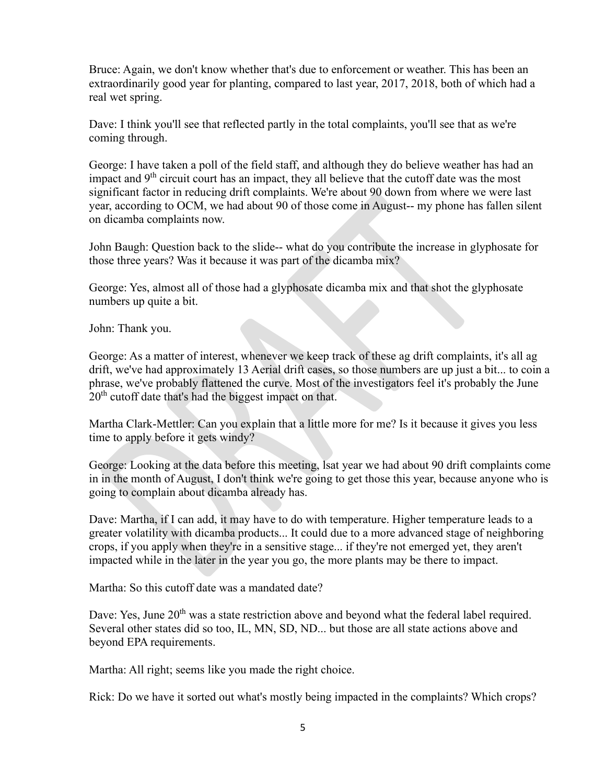Bruce: Again, we don't know whether that's due to enforcement or weather. This has been an extraordinarily good year for planting, compared to last year, 2017, 2018, both of which had a real wet spring.

Dave: I think you'll see that reflected partly in the total complaints, you'll see that as we're coming through.

George: I have taken a poll of the field staff, and although they do believe weather has had an impact and  $9<sup>th</sup>$  circuit court has an impact, they all believe that the cutoff date was the most significant factor in reducing drift complaints. We're about 90 down from where we were last year, according to OCM, we had about 90 of those come in August-- my phone has fallen silent on dicamba complaints now.

John Baugh: Question back to the slide-- what do you contribute the increase in glyphosate for those three years? Was it because it was part of the dicamba mix?

George: Yes, almost all of those had a glyphosate dicamba mix and that shot the glyphosate numbers up quite a bit.

John: Thank you.

George: As a matter of interest, whenever we keep track of these ag drift complaints, it's all ag drift, we've had approximately 13 Aerial drift cases, so those numbers are up just a bit... to coin a phrase, we've probably flattened the curve. Most of the investigators feel it's probably the June 20<sup>th</sup> cutoff date that's had the biggest impact on that.

Martha Clark-Mettler: Can you explain that a little more for me? Is it because it gives you less time to apply before it gets windy?

George: Looking at the data before this meeting, lsat year we had about 90 drift complaints come in in the month of August, I don't think we're going to get those this year, because anyone who is going to complain about dicamba already has.

Dave: Martha, if I can add, it may have to do with temperature. Higher temperature leads to a greater volatility with dicamba products... It could due to a more advanced stage of neighboring crops, if you apply when they're in a sensitive stage... if they're not emerged yet, they aren't impacted while in the later in the year you go, the more plants may be there to impact.

Martha: So this cutoff date was a mandated date?

Dave: Yes, June 20<sup>th</sup> was a state restriction above and beyond what the federal label required. Several other states did so too, IL, MN, SD, ND... but those are all state actions above and beyond EPA requirements.

Martha: All right; seems like you made the right choice.

Rick: Do we have it sorted out what's mostly being impacted in the complaints? Which crops?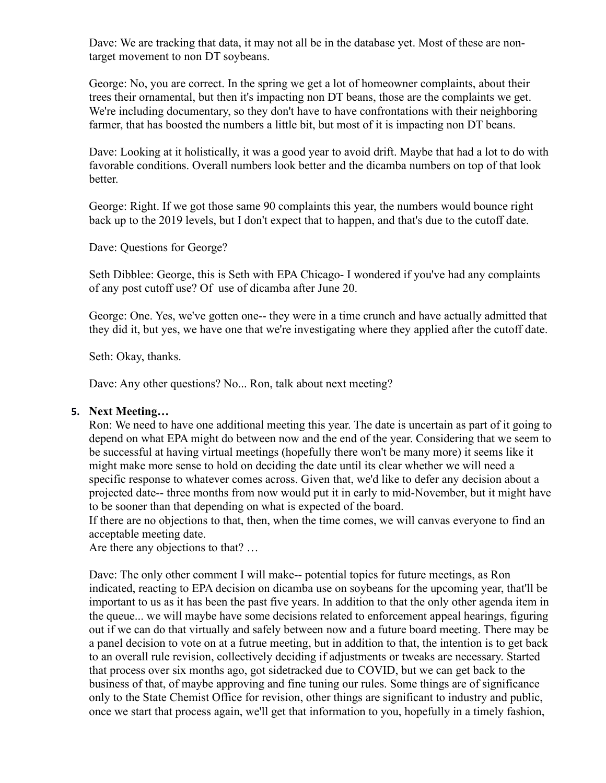Dave: We are tracking that data, it may not all be in the database yet. Most of these are nontarget movement to non DT soybeans.

George: No, you are correct. In the spring we get a lot of homeowner complaints, about their trees their ornamental, but then it's impacting non DT beans, those are the complaints we get. We're including documentary, so they don't have to have confrontations with their neighboring farmer, that has boosted the numbers a little bit, but most of it is impacting non DT beans.

Dave: Looking at it holistically, it was a good year to avoid drift. Maybe that had a lot to do with favorable conditions. Overall numbers look better and the dicamba numbers on top of that look better.

George: Right. If we got those same 90 complaints this year, the numbers would bounce right back up to the 2019 levels, but I don't expect that to happen, and that's due to the cutoff date.

Dave: Questions for George?

Seth Dibblee: George, this is Seth with EPA Chicago- I wondered if you've had any complaints of any post cutoff use? Of use of dicamba after June 20.

George: One. Yes, we've gotten one-- they were in a time crunch and have actually admitted that they did it, but yes, we have one that we're investigating where they applied after the cutoff date.

Seth: Okay, thanks.

Dave: Any other questions? No... Ron, talk about next meeting?

### **5. Next Meeting…**

Ron: We need to have one additional meeting this year. The date is uncertain as part of it going to depend on what EPA might do between now and the end of the year. Considering that we seem to be successful at having virtual meetings (hopefully there won't be many more) it seems like it might make more sense to hold on deciding the date until its clear whether we will need a specific response to whatever comes across. Given that, we'd like to defer any decision about a projected date-- three months from now would put it in early to mid-November, but it might have to be sooner than that depending on what is expected of the board.

If there are no objections to that, then, when the time comes, we will canvas everyone to find an acceptable meeting date.

Are there any objections to that? …

Dave: The only other comment I will make-- potential topics for future meetings, as Ron indicated, reacting to EPA decision on dicamba use on soybeans for the upcoming year, that'll be important to us as it has been the past five years. In addition to that the only other agenda item in the queue... we will maybe have some decisions related to enforcement appeal hearings, figuring out if we can do that virtually and safely between now and a future board meeting. There may be a panel decision to vote on at a futrue meeting, but in addition to that, the intention is to get back to an overall rule revision, collectively deciding if adjustments or tweaks are necessary. Started that process over six months ago, got sidetracked due to COVID, but we can get back to the business of that, of maybe approving and fine tuning our rules. Some things are of significance only to the State Chemist Office for revision, other things are significant to industry and public, once we start that process again, we'll get that information to you, hopefully in a timely fashion,